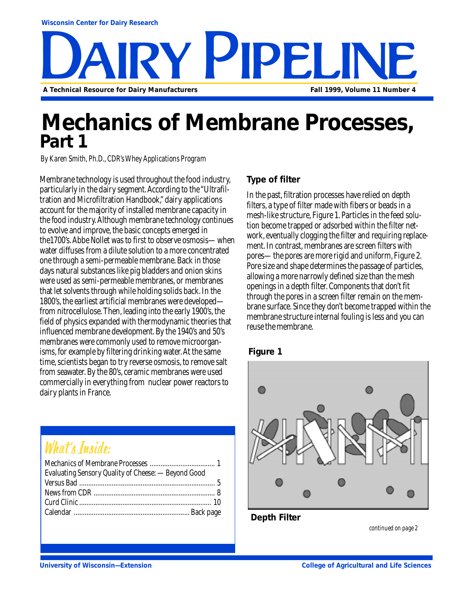

### **Mechanics of Membrane Processes, Part 1**

*By Karen Smith, Ph.D., CDR's Whey Applications Program*

Membrane technology is used throughout the food industry, particularly in the dairy segment. According to the "Ultrafiltration and Microfiltration Handbook," dairy applications account for the majority of installed membrane capacity in the food industry. Although membrane technology continues to evolve and improve, the basic concepts emerged in the1700's. Abbe Nollet was to first to observe osmosis—when water diffuses from a dilute solution to a more concentrated one through a semi-permeable membrane. Back in those days natural substances like pig bladders and onion skins were used as semi-permeable membranes, or membranes that let solvents through while holding solids back. In the 1800's, the earliest artificial membranes were developed from nitrocellulose. Then, leading into the early 1900's, the field of physics expanded with thermodynamic theories that influenced membrane development. By the 1940's and 50's membranes were commonly used to remove microorganisms, for example by filtering drinking water. At the same time, scientists began to try reverse osmosis, to remove salt from seawater. By the 80's, ceramic membranes were used commercially in everything from nuclear power reactors to dairy plants in France.

### What's Inside:

| Evaluating Sensory Quality of Cheese: - Beyond Good |  |
|-----------------------------------------------------|--|
|                                                     |  |
|                                                     |  |
|                                                     |  |
|                                                     |  |
|                                                     |  |

#### **Type of filter**

In the past, filtration processes have relied on depth filters, a type of filter made with fibers or beads in a mesh-like structure, Figure 1. Particles in the feed solution become trapped or adsorbed within the filter network, eventually clogging the filter and requiring replacement. In contrast, membranes are screen filters with pores—the pores are more rigid and uniform, Figure 2. Pore size and shape determines the passage of particles, allowing a more narrowly defined size than the mesh openings in a depth filter. Components that don't fit through the pores in a screen filter remain on the membrane surface. Since they don't become trapped within the membrane structure internal fouling is less and you can reuse the membrane.





**Depth Filter**

*continued on page 2*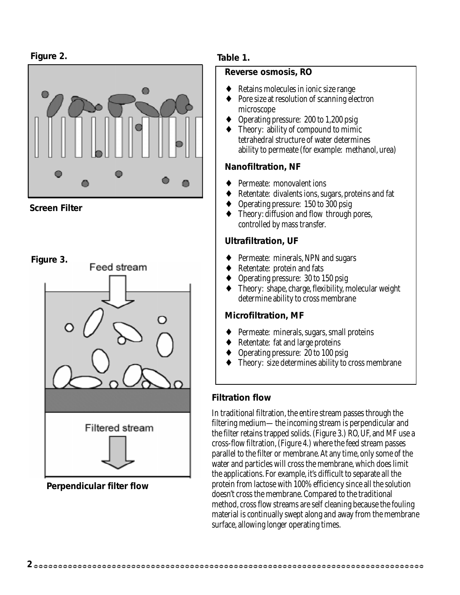#### **Figure 2.**



**Screen Filter**



**Perpendicular filter flow**

#### **Table 1.**

#### **Reverse osmosis, RO**

- Retains molecules in ionic size range
- ♦ Pore size at resolution of scanning electron microscope
- Operating pressure: 200 to 1,200 psig
- ♦ Theory: ability of compound to mimic tetrahedral structure of water determines ability to permeate (for example: methanol, urea)

#### **Nanofiltration, NF**

- Permeate: monovalent ions
- ♦ Retentate: divalents ions, sugars, proteins and fat
- ♦ Operating pressure: 150 to 300 psig
- ♦ Theory: diffusion and flow through pores, controlled by mass transfer.

#### **Ultrafiltration, UF**

- Permeate: minerals, NPN and sugars
- ♦ Retentate: protein and fats
- ♦ Operating pressure: 30 to 150 psig
- ♦ Theory: shape, charge, flexibility, molecular weight determine ability to cross membrane

#### **Microfiltration, MF**

- ♦ Permeate: minerals, sugars, small proteins
- Retentate: fat and large proteins
- ♦ Operating pressure: 20 to 100 psig
- Theory: size determines ability to cross membrane

#### **Filtration flow**

In traditional filtration, the entire stream passes through the filtering medium—the incoming stream is perpendicular and the filter retains trapped solids. (Figure 3.) RO, UF, and MF use a cross-flow filtration, (Figure 4.) where the feed stream passes parallel to the filter or membrane. At any time, only some of the water and particles will cross the membrane, which does limit the applications. For example, it's difficult to separate all the protein from lactose with 100% efficiency since all the solution doesn't cross the membrane. Compared to the traditional method, cross flow streams are self cleaning because the fouling material is continually swept along and away from the membrane surface, allowing longer operating times.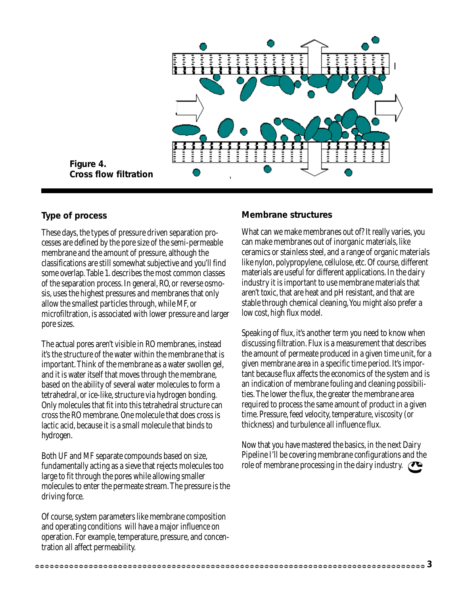

**Figure 4. Cross flow filtration**

#### **Type of process**

These days, the types of pressure driven separation processes are defined by the pore size of the semi-permeable membrane and the amount of pressure, although the classifications are still somewhat subjective and you'll find some overlap. Table 1. describes the most common classes of the separation process. In general, RO, or reverse osmosis, uses the highest pressures and membranes that only allow the smallest particles through, while MF, or microfiltration, is associated with lower pressure and larger pore sizes.

The actual pores aren't visible in RO membranes, instead it's the structure of the water within the membrane that is important. Think of the membrane as a water swollen gel, and it is water itself that moves through the membrane, based on the ability of several water molecules to form a tetrahedral, or ice-like, structure via hydrogen bonding. Only molecules that fit into this tetrahedral structure can cross the RO membrane. One molecule that does cross is lactic acid, because it is a small molecule that binds to hydrogen.

Both UF and MF separate compounds based on size, fundamentally acting as a sieve that rejects molecules too large to fit through the pores while allowing smaller molecules to enter the permeate stream. The pressure is the driving force.

Of course, system parameters like membrane composition and operating conditions will have a major influence on operation. For example, temperature, pressure, and concentration all affect permeability.

#### **Membrane structures**

What can we make membranes out of? It really varies, you can make membranes out of inorganic materials, like ceramics or stainless steel, and a range of organic materials like nylon, polypropylene, cellulose, etc. Of course, different materials are useful for different applications. In the dairy industry it is important to use membrane materials that aren't toxic, that are heat and pH resistant, and that are stable through chemical cleaning, You might also prefer a low cost, high flux model.

Speaking of flux, it's another term you need to know when discussing filtration. Flux is a measurement that describes the amount of permeate produced in a given time unit, for a given membrane area in a specific time period. It's important because flux affects the economics of the system and is an indication of membrane fouling and cleaning possibilities. The lower the flux, the greater the membrane area required to process the same amount of product in a given time. Pressure, feed velocity, temperature, viscosity (or thickness) and turbulence all influence flux.

Now that you have mastered the basics, in the next Dairy Pipeline I'll be covering membrane configurations and the role of membrane processing in the dairy industry.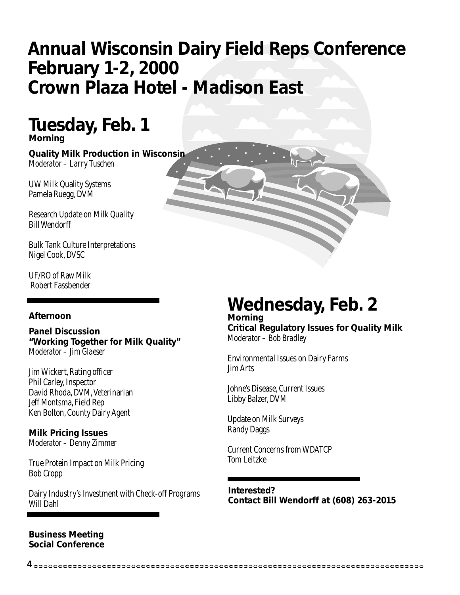### **Annual Wisconsin Dairy Field Reps Conference February 1-2, 2000 Crown Plaza Hotel - Madison East**

### **Tuesday, Feb. 1 Morning**

**Quality Milk Production in Wisconsin** *Moderator – Larry Tuschen*

UW Milk Quality Systems Pamela Ruegg, DVM

Research Update on Milk Quality Bill Wendorff

Bulk Tank Culture Interpretations Nigel Cook, DVSC

UF/RO of Raw Milk Robert Fassbender

#### **Afternoon**

**Panel Discussion "Working Together for Milk Quality"** *Moderator – Jim Glaeser*

Jim Wickert, Rating officer Phil Carley, Inspector David Rhoda, DVM, Veterinarian Jeff Montsma, Field Rep Ken Bolton, County Dairy Agent

**Milk Pricing Issues** *Moderator – Denny Zimmer*

True Protein Impact on Milk Pricing Bob Cropp

Dairy Industry's Investment with Check-off Programs Will Dahl

#### **Business Meeting Social Conference**

### **Wednesday, Feb. 2**

**Morning Critical Regulatory Issues for Quality Milk** *Moderator – Bob Bradley*

Environmental Issues on Dairy Farms Jim Arts

Johne's Disease, Current Issues Libby Balzer, DVM

Update on Milk Surveys Randy Daggs

**4**

Current Concerns from WDATCP Tom Leitzke

**Interested? Contact Bill Wendorff at (608) 263-2015**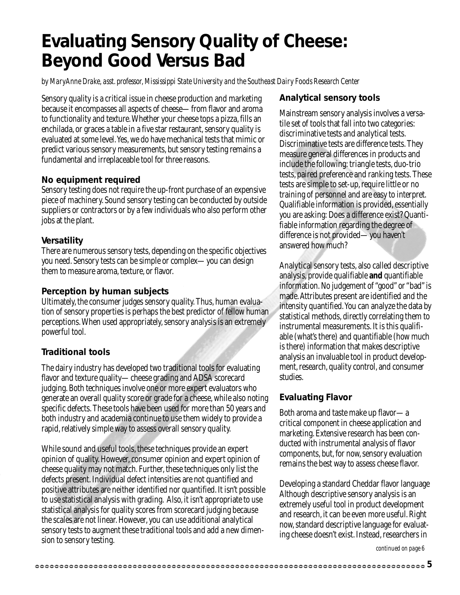### **Evaluating Sensory Quality of Cheese: Beyond Good Versus Bad**

*by MaryAnne Drake, asst. professor, Mississippi State University and the Southeast Dairy Foods Research Center*

Sensory quality is a critical issue in cheese production and marketing because it encompasses all aspects of cheese—from flavor and aroma to functionality and texture. Whether your cheese tops a pizza, fills an enchilada, or graces a table in a five star restaurant, sensory quality is evaluated at some level. Yes, we do have mechanical tests that mimic or predict various sensory measurements, but sensory testing remains a fundamental and irreplaceable tool for three reasons.

#### **No equipment required**

Sensory testing does not require the up-front purchase of an expensive piece of machinery. Sound sensory testing can be conducted by outside suppliers or contractors or by a few individuals who also perform other jobs at the plant.

#### **Versatility**

There are numerous sensory tests, depending on the specific objectives you need. Sensory tests can be simple or complex—you can design them to measure aroma, texture, or flavor.

#### **Perception by human subjects**

Ultimately, the consumer judges sensory quality. Thus, human evaluation of sensory properties is perhaps the best predictor of fellow human perceptions. When used appropriately, sensory analysis is an extremely powerful tool.

#### **Traditional tools**

The dairy industry has developed two traditional tools for evaluating flavor and texture quality—cheese grading and ADSA scorecard judging. Both techniques involve one or more expert evaluators who generate an overall quality score or grade for a cheese, while also noting specific defects. These tools have been used for more than 50 years and both industry and academia continue to use them widely to provide a rapid, relatively simple way to assess overall sensory quality.

While sound and useful tools, these techniques provide an expert opinion of quality. However, consumer opinion and expert opinion of cheese quality may not match. Further, these techniques only list the defects present. Individual defect intensities are not quantified and positive attributes are neither identified nor quantified. It isn't possible to use statistical analysis with grading. Also, it isn't appropriate to use statistical analysis for quality scores from scorecard judging because the scales are not linear. However, you can use additional analytical sensory tests to augment these traditional tools and add a new dimension to sensory testing.

#### **Analytical sensory tools**

Mainstream sensory analysis involves a versatile set of tools that fall into two categories: discriminative tests and analytical tests. Discriminative tests are difference tests. They measure general differences in products and include the following: triangle tests, duo-trio tests, paired preference and ranking tests. These tests are simple to set-up, require little or no training of personnel and are easy to interpret. Qualifiable information is provided, essentially you are asking: Does a difference exist? Quantifiable information regarding the degree of difference is not provided—you haven't answered how much?

Analytical sensory tests, also called descriptive analysis, provide qualifiable **and** quantifiable information. No judgement of "good" or "bad" is made. Attributes present are identified and the intensity quantified. You can analyze the data by statistical methods, directly correlating them to instrumental measurements. It is this qualifiable (what's there) and quantifiable (how much is there) information that makes descriptive analysis an invaluable tool in product development, research, quality control, and consumer studies.

#### **Evaluating Flavor**

Both aroma and taste make up flavor—a critical component in cheese application and marketing. Extensive research has been conducted with instrumental analysis of flavor components, but, for now, sensory evaluation remains the best way to assess cheese flavor.

Developing a standard Cheddar flavor language Although descriptive sensory analysis is an extremely useful tool in product development and research, it can be even more useful. Right now, standard descriptive language for evaluating cheese doesn't exist. Instead, researchers in

*continued on page 6*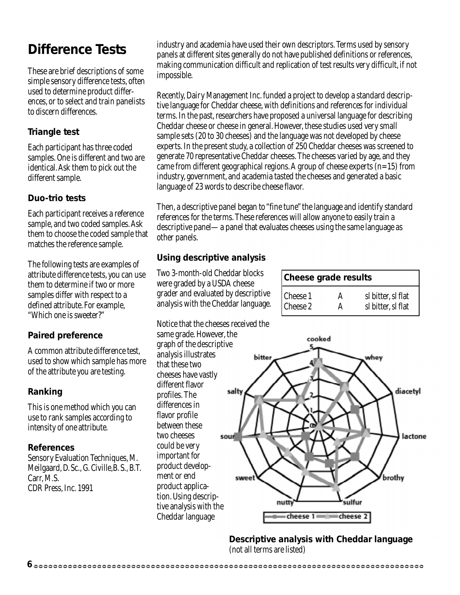### **Difference Tests**

These are brief descriptions of some simple sensory difference tests, often used to determine product differences, or to select and train panelists to discern differences.

#### **Triangle test**

Each participant has three coded samples. One is different and two are identical. Ask them to pick out the different sample.

#### **Duo-trio tests**

Each participant receives a reference sample, and two coded samples. Ask them to choose the coded sample that matches the reference sample.

The following tests are examples of attribute difference tests, you can use them to determine if two or more samples differ with respect to a defined attribute. For example, "Which one is sweeter?"

#### **Paired preference**

A common attribute difference test, used to show which sample has more of the attribute you are testing.

#### **Ranking**

This is one method which you can use to rank samples according to intensity of one attribute.

#### **References**

Sensory Evaluation Techniques, M. Meilgaard, D. Sc., G. Civille,B. S., B.T. Carr, M.S. CDR Press, Inc. 1991

industry and academia have used their own descriptors. Terms used by sensory panels at different sites generally do not have published definitions or references, making communication difficult and replication of test results very difficult, if not impossible.

Recently, Dairy Management Inc. funded a project to develop a standard descriptive language for Cheddar cheese, with definitions and references for individual terms. In the past, researchers have proposed a universal language for describing Cheddar cheese or cheese in general. However, these studies used very small sample sets (20 to 30 cheeses) and the language was not developed by cheese experts. In the present study, a collection of 250 Cheddar cheeses was screened to generate 70 representative Cheddar cheeses. The cheeses varied by age, and they came from different geographical regions. A group of cheese experts  $(n=15)$  from industry, government, and academia tasted the cheeses and generated a basic language of 23 words to describe cheese flavor.

Then, a descriptive panel began to "fine tune" the language and identify standard references for the terms. These references will allow anyone to easily train a descriptive panel—a panel that evaluates cheeses using the same language as other panels.

#### **Using descriptive analysis**

Two 3-month-old Cheddar blocks were graded by a USDA cheese grader and evaluated by descriptive analysis with the Cheddar language.

| <b>Cheese grade results</b> |                    |
|-----------------------------|--------------------|
|                             | sl bitter, sl flat |
| Cheese 1<br>Cheese 2        | sl bitter, sl flat |

Notice that the cheeses received the same grade. However, the graph of the descriptive analysis illustrates that these two cheeses have vastly different flavor salty profiles. The differences in flavor profile between these two cheeses sourl could be very important for product development or end product application. Using descriptive analysis with the Cheddar language

 $\mathbf 6$  esses esses esses esses esses es asses es asses es asses es asses es assesses es assesses es assesses  $\mathbf e$ 



**Descriptive analysis with Cheddar language** (not all terms are listed)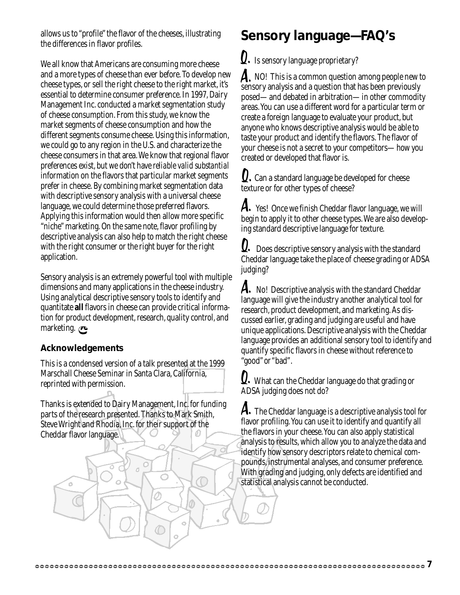allows us to "profile" the flavor of the cheeses, illustrating the differences in flavor profiles.

We all know that Americans are consuming more cheese and a more types of cheese than ever before. To develop new cheese types, or sell the right cheese to the right market, it's essential to determine consumer preference. In 1997, Dairy Management Inc. conducted a market segmentation study of cheese consumption. From this study, we know the market segments of cheese consumption and how the different segments consume cheese. Using this information, we could go to any region in the U.S. and characterize the cheese consumers in that area. We know that regional flavor preferences exist, but we don't have *reliable valid substantial* information on the flavors that particular market segments prefer in cheese. By combining market segmentation data with descriptive sensory analysis with a universal cheese language, we could determine those preferred flavors. Applying this information would then allow more specific "niche" marketing. On the same note, flavor profiling by descriptive analysis can also help to match the right cheese with the right consumer or the right buyer for the right application.

Sensory analysis is an extremely powerful tool with multiple dimensions and many applications in the cheese industry. Using analytical descriptive sensory tools to identify and quantitate **all** flavors in cheese can provide critical information for product development, research, quality control, and marketing.

#### **Acknowledgements**

This is a condensed version of a talk presented at the 1999 Marschall Cheese Seminar in Santa Clara, California, reprinted with permission.

Thanks is extended to Dairy Management, Inc. for funding parts of the research presented. Thanks to Mark Smith, Steve Wright and Rhodia, Inc. for their support of the Cheddar flavor language.

d

 $\circ$ 

### **Sensory language—FAQ's**

 $\bm{\mathcal{Q}}.$  Is sensory language proprietary?

A. NO! This is a common question among people new to sensory analysis and a question that has been previously posed—and debated in arbitration—in other commodity areas. You can use a different word for a particular term or create a foreign language to evaluate your product, but anyone who knows descriptive analysis would be able to taste your product and identify the flavors. The flavor of your cheese is not a secret to your competitors—how you created or developed that flavor is.

 $\Omega$ . Can a standard language be developed for cheese texture or for other types of cheese?

 $\bm{A}.$  Yes! Once we finish Cheddar flavor language, we will begin to apply it to other cheese types. We are also developing standard descriptive language for texture.

 Does descriptive sensory analysis with the standard Q.Cheddar language take the place of cheese grading or ADSA judging?

A. No! Descriptive analysis with the standard Cheddar language will give the industry another analytical tool for research, product development, and marketing. As discussed earlier, grading and judging are useful and have unique applications. Descriptive analysis with the Cheddar language provides an additional sensory tool to identify and quantify specific flavors in cheese without reference to "good" or "bad".

 $\Omega.$  What can the Cheddar language do that grading or ADSA judging does not do?

A. The Cheddar language is a descriptive analysis tool for flavor profiling. You can use it to identify and quantify all the flavors in your cheese. You can also apply statistical analysis to results, which allow you to analyze the data and identify how sensory descriptors relate to chemical compounds, instrumental analyses, and consumer preference. With grading and judging, only defects are identified and statistical analysis cannot be conducted.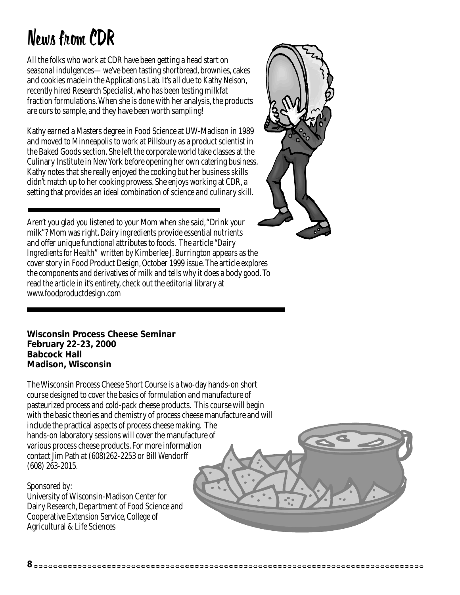# News from CDR

All the folks who work at CDR have been getting a head start on seasonal indulgences—we've been tasting shortbread, brownies, cakes and cookies made in the Applications Lab. It's all due to Kathy Nelson, recently hired Research Specialist, who has been testing milkfat fraction formulations. When she is done with her analysis, the products are ours to sample, and they have been worth sampling!

Kathy earned a Masters degree in Food Science at UW-Madison in 1989 and moved to Minneapolis to work at Pillsbury as a product scientist in the Baked Goods section. She left the corporate world take classes at the Culinary Institute in New York before opening her own catering business. Kathy notes that she really enjoyed the cooking but her business skills didn't match up to her cooking prowess. She enjoys working at CDR, a setting that provides an ideal combination of science and culinary skill.

Aren't you glad you listened to your Mom when she said, "Drink your milk"? Mom was right. Dairy ingredients provide essential nutrients and offer unique functional attributes to foods. The article *"Dairy Ingredients for Health*" written by Kimberlee J. Burrington appears as the cover story in Food Product Design, October 1999 issue. The article explores the components and derivatives of milk and tells why it does a body good. To read the article in it's entirety, check out the editorial library at www.foodproductdesign.com

**Wisconsin Process Cheese Seminar February 22-23, 2000 Babcock Hall Madison, Wisconsin**

The Wisconsin Process Cheese Short Course is a two-day hands-on short course designed to cover the basics of formulation and manufacture of pasteurized process and cold-pack cheese products. This course will begin with the basic theories and chemistry of process cheese manufacture and will include the practical aspects of process cheese making. The hands-on laboratory sessions will cover the manufacture of various process cheese products. For more information contact Jim Path at (608)262-2253 or Bill Wendorff (608) 263-2015.

**8**

Sponsored by:

University of Wisconsin-Madison Center for Dairy Research, Department of Food Science and Cooperative Extension Service, College of Agricultural & Life Sciences

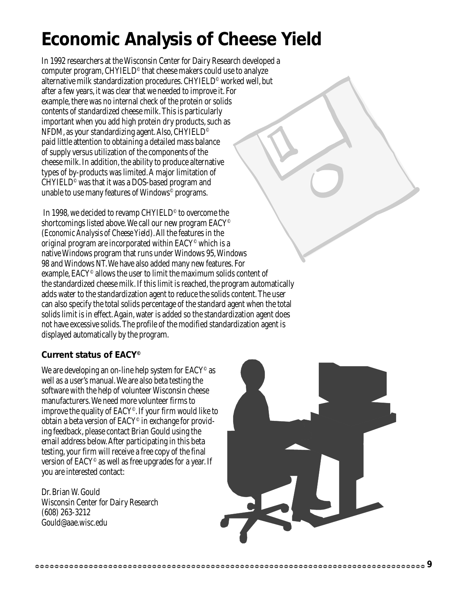### **Economic Analysis of Cheese Yield**

In 1992 researchers at the Wisconsin Center for Dairy Research developed a computer program, CHYIELD© that cheese makers could use to analyze alternative milk standardization procedures. CHYIELD© worked well, but after a few years, it was clear that we needed to improve it. For example, there was no internal check of the protein or solids contents of standardized cheese milk. This is particularly important when you add high protein dry products, such as NFDM, as your standardizing agent. Also, CHYIELD $^\circ$ paid little attention to obtaining a detailed mass balance of supply versus utilization of the components of the cheese milk. In addition, the ability to produce alternative types of by-products was limited. A major limitation of  $CHYIELD<sup>°</sup>$  was that it was a DOS-based program and unable to use many features of Windows© programs.

In 1998, we decided to revamp CHYIELD<sup>®</sup> to overcome the shortcomings listed above. We call our new program EACY<sup>®</sup> (*Economic Analysis of Cheese Yield*). All the features in the original program are incorporated within EACY© which is a native Windows program that runs under Windows 95, Windows 98 and Windows NT. We have also added many new features. For example, EACY<sup>®</sup> allows the user to limit the maximum solids content of the standardized cheese milk. If this limit is reached, the program automatically adds water to the standardization agent to reduce the solids content. The user can also specify the total solids percentage of the standard agent when the total solids limit is in effect. Again, water is added so the standardization agent does not have excessive solids. The profile of the modified standardization agent is displayed automatically by the program.

#### **Current status of EACY ©**

We are developing an on-line help system for  $EACY^{\circ}$  as well as a user's manual. We are also beta testing the software with the help of volunteer Wisconsin cheese manufacturers. We need more volunteer firms to improve the quality of  $EACY^{\circ}$ . If your firm would like to obtain a beta version of  $EACY^{\circ}$  in exchange for providing feedback, please contact Brian Gould using the email address below. After participating in this beta testing, your firm will receive a free copy of the final version of  $EACY^{\circ}$  as well as free upgrades for a year. If you are interested contact:

Dr. Brian W. Gould Wisconsin Center for Dairy Research (608) 263-3212 Gould@aae.wisc.edu

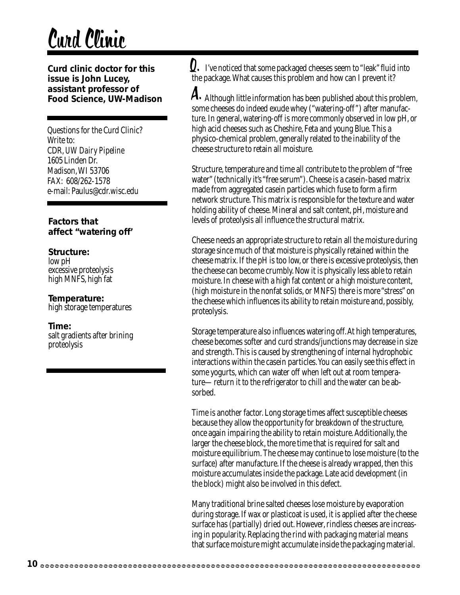# Curd Clinic

**Curd clinic doctor for this issue is John Lucey, assistant professor of Food Science, UW-Madison**

Questions for the Curd Clinic? Write to: CDR, *UW Dairy Pipeline* 1605 Linden Dr. Madison, WI 53706 FAX: 608/262-1578 e-mail: Paulus@cdr.wisc.edu

#### **Factors that affect "watering off'**

#### **Structure:**

low pH excessive proteolysis high MNFS, high fat

#### **Temperature:**

high storage temperatures

#### **Time:**

salt gradients after brining proteolysis

Q. I've noticed that some packaged cheeses seem to "leak" fluid into the package. What causes this problem and how can I prevent it?

 ${\mathcal A}.$  Although little information has been published about this problem, some cheeses do indeed exude whey ("watering-off ") after manufacture. In general, watering-off is more commonly observed in low pH, or high acid cheeses such as Cheshire, Feta and young Blue. This a physico-chemical problem, generally related to the inability of the cheese structure to retain all moisture.

Structure, temperature and time all contribute to the problem of "free water" (technically it's "free serum"). Cheese is a casein-based matrix made from aggregated casein particles which fuse to form a firm network structure. This matrix is responsible for the texture and water holding ability of cheese. Mineral and salt content, pH, moisture and levels of proteolysis all influence the structural matrix.

Cheese needs an appropriate structure to retain all the moisture during storage since much of that moisture is physically retained within the cheese matrix. If the pH is too low, or there is excessive proteolysis, then the cheese can become crumbly. Now it is physically less able to retain moisture. In cheese with a high fat content or a high moisture content, (high moisture in the nonfat solids, or MNFS) there is more "stress" on the cheese which influences its ability to retain moisture and, possibly, proteolysis.

Storage temperature also influences watering off. At high temperatures, cheese becomes softer and curd strands/junctions may decrease in size and strength. This is caused by strengthening of internal hydrophobic interactions within the casein particles. You can easily see this effect in some yogurts, which can water off when left out at room temperature—return it to the refrigerator to chill and the water can be absorbed.

Time is another factor. Long storage times affect susceptible cheeses because they allow the opportunity for breakdown of the structure, once again impairing the ability to retain moisture. Additionally, the larger the cheese block, the more time that is required for salt and moisture equilibrium. The cheese may continue to lose moisture (to the surface) after manufacture. If the cheese is already wrapped, then this moisture accumulates inside the package. Late acid development (in the block) might also be involved in this defect.

Many traditional brine salted cheeses lose moisture by evaporation during storage. If wax or plasticoat is used, it is applied after the cheese surface has (partially) dried out. However, rindless cheeses are increasing in popularity. Replacing the rind with packaging material means that surface moisture might accumulate inside the packaging material.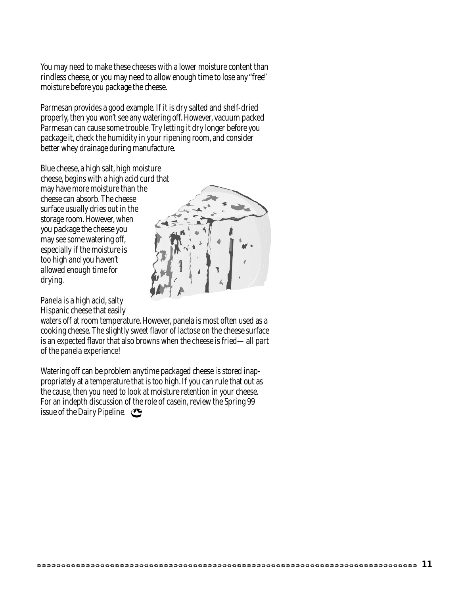You may need to make these cheeses with a lower moisture content than rindless cheese, or you may need to allow enough time to lose any "free" moisture before you package the cheese.

Parmesan provides a good example. If it is dry salted and shelf-dried properly, then you won't see any watering off. However, vacuum packed Parmesan can cause some trouble. Try letting it dry longer before you package it, check the humidity in your ripening room, and consider better whey drainage during manufacture.

Blue cheese, a high salt, high moisture

cheese, begins with a high acid curd that may have more moisture than the cheese can absorb. The cheese surface usually dries out in the storage room. However, when you package the cheese you may see some watering off, especially if the moisture is too high and you haven't allowed enough time for drying.

Panela is a high acid, salty Hispanic cheese that easily



waters off at room temperature. However, panela is most often used as a cooking cheese. The slightly sweet flavor of lactose on the cheese surface is an expected flavor that also browns when the cheese is fried—all part of the panela experience!

Watering off can be problem anytime packaged cheese is stored inappropriately at a temperature that is too high. If you can rule that out as the cause, then you need to look at moisture retention in your cheese. For an indepth discussion of the role of casein, review the Spring 99 issue of the Dairy Pipeline.